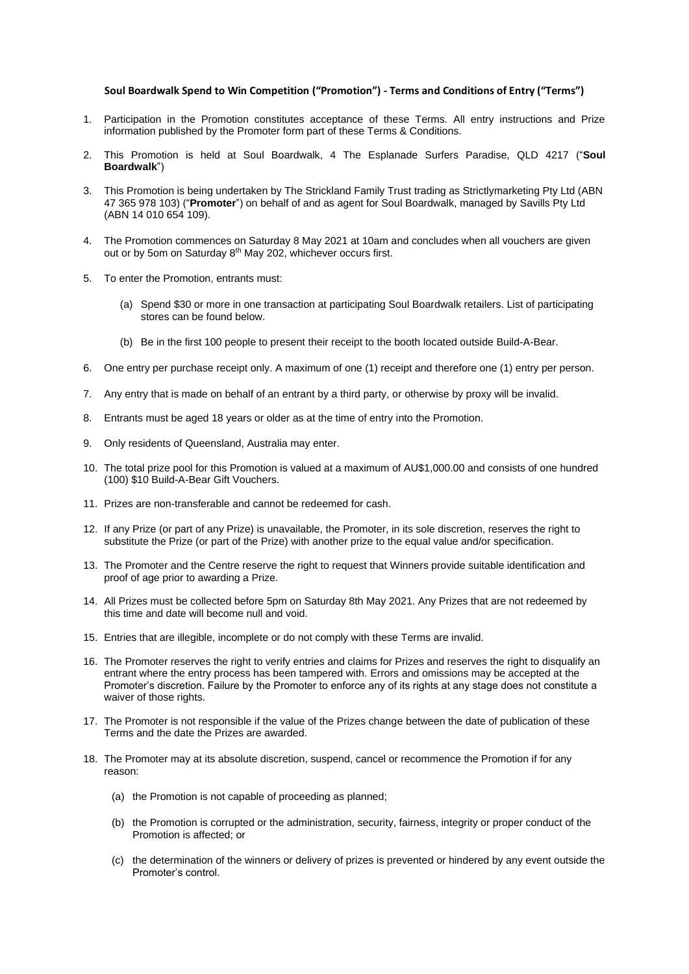## **Soul Boardwalk Spend to Win Competition ("Promotion") - Terms and Conditions of Entry ("Terms")**

- 1. Participation in the Promotion constitutes acceptance of these Terms. All entry instructions and Prize information published by the Promoter form part of these Terms & Conditions.
- 2. This Promotion is held at Soul Boardwalk, 4 The Esplanade Surfers Paradise, QLD 4217 ("**Soul Boardwalk**")
- 3. This Promotion is being undertaken by The Strickland Family Trust trading as Strictlymarketing Pty Ltd (ABN 47 365 978 103) ("**Promoter**") on behalf of and as agent for Soul Boardwalk, managed by Savills Pty Ltd (ABN 14 010 654 109).
- 4. The Promotion commences on Saturday 8 May 2021 at 10am and concludes when all vouchers are given out or by 5om on Saturday 8<sup>th</sup> May 202, whichever occurs first.
- 5. To enter the Promotion, entrants must:
	- (a) Spend \$30 or more in one transaction at participating Soul Boardwalk retailers. List of participating stores can be found below.
	- (b) Be in the first 100 people to present their receipt to the booth located outside Build-A-Bear.
- 6. One entry per purchase receipt only. A maximum of one (1) receipt and therefore one (1) entry per person.
- 7. Any entry that is made on behalf of an entrant by a third party, or otherwise by proxy will be invalid.
- 8. Entrants must be aged 18 years or older as at the time of entry into the Promotion.
- 9. Only residents of Queensland, Australia may enter.
- 10. The total prize pool for this Promotion is valued at a maximum of AU\$1,000.00 and consists of one hundred (100) \$10 Build-A-Bear Gift Vouchers.
- 11. Prizes are non-transferable and cannot be redeemed for cash.
- 12. If any Prize (or part of any Prize) is unavailable, the Promoter, in its sole discretion, reserves the right to substitute the Prize (or part of the Prize) with another prize to the equal value and/or specification.
- 13. The Promoter and the Centre reserve the right to request that Winners provide suitable identification and proof of age prior to awarding a Prize.
- 14. All Prizes must be collected before 5pm on Saturday 8th May 2021. Any Prizes that are not redeemed by this time and date will become null and void.
- 15. Entries that are illegible, incomplete or do not comply with these Terms are invalid.
- 16. The Promoter reserves the right to verify entries and claims for Prizes and reserves the right to disqualify an entrant where the entry process has been tampered with. Errors and omissions may be accepted at the Promoter's discretion. Failure by the Promoter to enforce any of its rights at any stage does not constitute a waiver of those rights.
- 17. The Promoter is not responsible if the value of the Prizes change between the date of publication of these Terms and the date the Prizes are awarded.
- 18. The Promoter may at its absolute discretion, suspend, cancel or recommence the Promotion if for any reason:
	- (a) the Promotion is not capable of proceeding as planned;
	- (b) the Promotion is corrupted or the administration, security, fairness, integrity or proper conduct of the Promotion is affected; or
	- (c) the determination of the winners or delivery of prizes is prevented or hindered by any event outside the Promoter's control.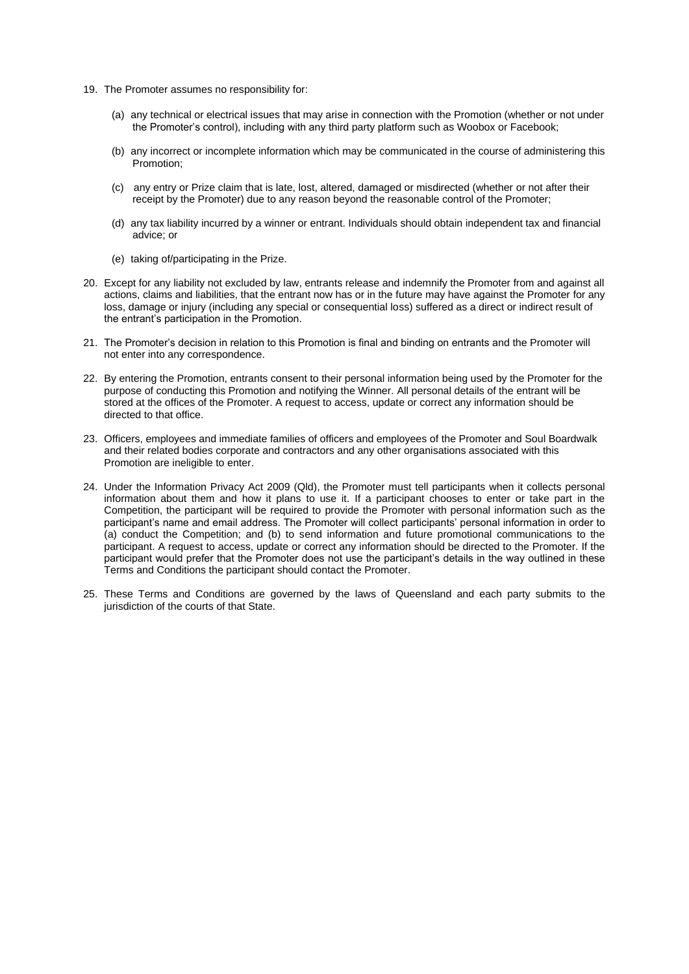- 19. The Promoter assumes no responsibility for:
	- (a) any technical or electrical issues that may arise in connection with the Promotion (whether or not under the Promoter's control), including with any third party platform such as Woobox or Facebook;
	- (b) any incorrect or incomplete information which may be communicated in the course of administering this Promotion;
	- (c) any entry or Prize claim that is late, lost, altered, damaged or misdirected (whether or not after their receipt by the Promoter) due to any reason beyond the reasonable control of the Promoter;
	- (d) any tax liability incurred by a winner or entrant. Individuals should obtain independent tax and financial advice; or
	- (e) taking of/participating in the Prize.
- 20. Except for any liability not excluded by law, entrants release and indemnify the Promoter from and against all actions, claims and liabilities, that the entrant now has or in the future may have against the Promoter for any loss, damage or injury (including any special or consequential loss) suffered as a direct or indirect result of the entrant's participation in the Promotion.
- 21. The Promoter's decision in relation to this Promotion is final and binding on entrants and the Promoter will not enter into any correspondence.
- 22. By entering the Promotion, entrants consent to their personal information being used by the Promoter for the purpose of conducting this Promotion and notifying the Winner. All personal details of the entrant will be stored at the offices of the Promoter. A request to access, update or correct any information should be directed to that office.
- 23. Officers, employees and immediate families of officers and employees of the Promoter and Soul Boardwalk and their related bodies corporate and contractors and any other organisations associated with this Promotion are ineligible to enter.
- 24. Under the Information Privacy Act 2009 (Qld), the Promoter must tell participants when it collects personal information about them and how it plans to use it. If a participant chooses to enter or take part in the Competition, the participant will be required to provide the Promoter with personal information such as the participant's name and email address. The Promoter will collect participants' personal information in order to (a) conduct the Competition; and (b) to send information and future promotional communications to the participant. A request to access, update or correct any information should be directed to the Promoter. If the participant would prefer that the Promoter does not use the participant's details in the way outlined in these Terms and Conditions the participant should contact the Promoter.
- 25. These Terms and Conditions are governed by the laws of Queensland and each party submits to the jurisdiction of the courts of that State.